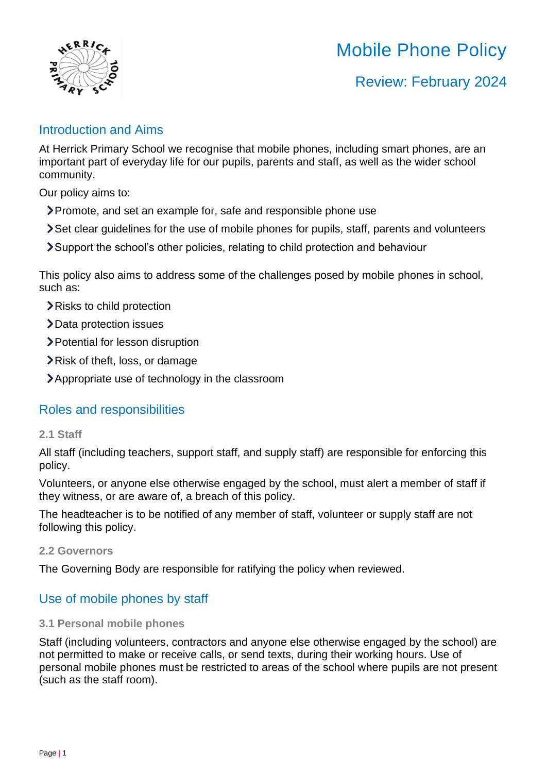

# Mobile Phone Policy

## Review: February 2024

### Introduction and Aims

At Herrick Primary School we recognise that mobile phones, including smart phones, are an important part of everyday life for our pupils, parents and staff, as well as the wider school community.

Our policy aims to:

- Promote, and set an example for, safe and responsible phone use
- Set clear guidelines for the use of mobile phones for pupils, staff, parents and volunteers
- Support the school's other policies, relating to child protection and behaviour

This policy also aims to address some of the challenges posed by mobile phones in school, such as:

Risks to child protection

- **>**Data protection issues
- Potential for lesson disruption
- Risk of theft, loss, or damage
- Appropriate use of technology in the classroom

## Roles and responsibilities

#### **2.1 Staff**

All staff (including teachers, support staff, and supply staff) are responsible for enforcing this policy.

Volunteers, or anyone else otherwise engaged by the school, must alert a member of staff if they witness, or are aware of, a breach of this policy.

The headteacher is to be notified of any member of staff, volunteer or supply staff are not following this policy.

#### **2.2 Governors**

The Governing Body are responsible for ratifying the policy when reviewed.

## Use of mobile phones by staff

#### **3.1 Personal mobile phones**

Staff (including volunteers, contractors and anyone else otherwise engaged by the school) are not permitted to make or receive calls, or send texts, during their working hours. Use of personal mobile phones must be restricted to areas of the school where pupils are not present (such as the staff room).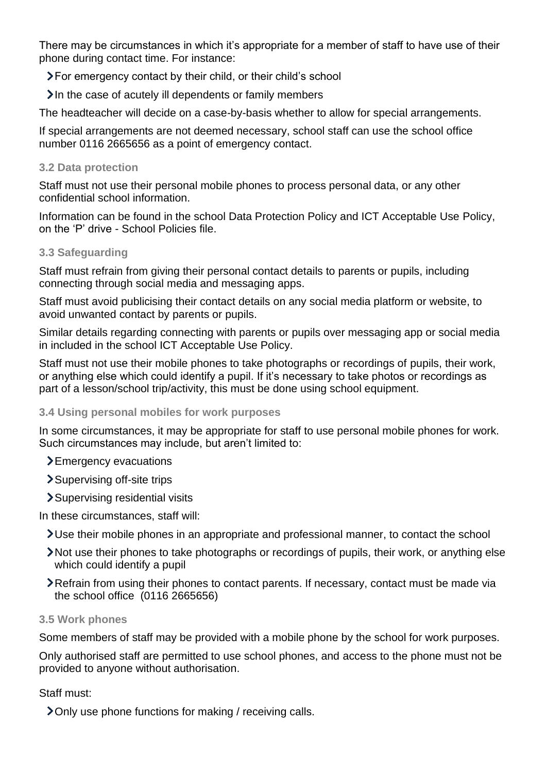There may be circumstances in which it's appropriate for a member of staff to have use of their phone during contact time. For instance:

For emergency contact by their child, or their child's school

 $\lambda$  In the case of acutely ill dependents or family members

The headteacher will decide on a case-by-basis whether to allow for special arrangements.

If special arrangements are not deemed necessary, school staff can use the school office number 0116 2665656 as a point of emergency contact.

#### **3.2 Data protection**

Staff must not use their personal mobile phones to process personal data, or any other confidential school information.

Information can be found in the school Data Protection Policy and ICT Acceptable Use Policy, on the 'P' drive - School Policies file.

#### **3.3 Safeguarding**

Staff must refrain from giving their personal contact details to parents or pupils, including connecting through social media and messaging apps.

Staff must avoid publicising their contact details on any social media platform or website, to avoid unwanted contact by parents or pupils.

Similar details regarding connecting with parents or pupils over messaging app or social media in included in the school ICT Acceptable Use Policy.

Staff must not use their mobile phones to take photographs or recordings of pupils, their work, or anything else which could identify a pupil. If it's necessary to take photos or recordings as part of a lesson/school trip/activity, this must be done using school equipment.

#### **3.4 Using personal mobiles for work purposes**

In some circumstances, it may be appropriate for staff to use personal mobile phones for work. Such circumstances may include, but aren't limited to:

Emergency evacuations

Supervising off-site trips

Supervising residential visits

In these circumstances, staff will:

- Use their mobile phones in an appropriate and professional manner, to contact the school
- Not use their phones to take photographs or recordings of pupils, their work, or anything else which could identify a pupil
- Refrain from using their phones to contact parents. If necessary, contact must be made via the school office (0116 2665656)

#### **3.5 Work phones**

Some members of staff may be provided with a mobile phone by the school for work purposes.

Only authorised staff are permitted to use school phones, and access to the phone must not be provided to anyone without authorisation.

#### Staff must:

Only use phone functions for making / receiving calls.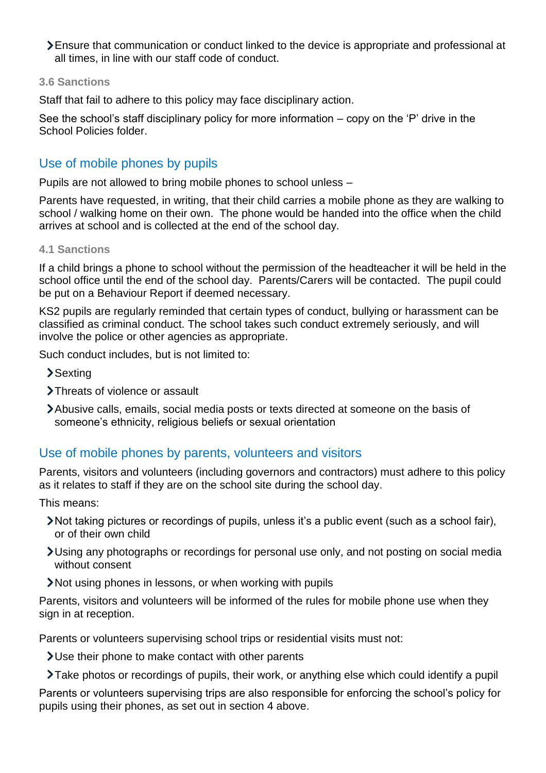Ensure that communication or conduct linked to the device is appropriate and professional at all times, in line with our staff code of conduct.

#### **3.6 Sanctions**

Staff that fail to adhere to this policy may face disciplinary action.

See the school's staff disciplinary policy for more information – copy on the 'P' drive in the School Policies folder.

## Use of mobile phones by pupils

Pupils are not allowed to bring mobile phones to school unless –

Parents have requested, in writing, that their child carries a mobile phone as they are walking to school / walking home on their own. The phone would be handed into the office when the child arrives at school and is collected at the end of the school day.

#### **4.1 Sanctions**

If a child brings a phone to school without the permission of the headteacher it will be held in the school office until the end of the school day. Parents/Carers will be contacted. The pupil could be put on a Behaviour Report if deemed necessary.

KS2 pupils are regularly reminded that certain types of conduct, bullying or harassment can be classified as criminal conduct. The school takes such conduct extremely seriously, and will involve the police or other agencies as appropriate.

Such conduct includes, but is not limited to:

- >Sexting
- > Threats of violence or assault
- Abusive calls, emails, social media posts or texts directed at someone on the basis of someone's ethnicity, religious beliefs or sexual orientation

## Use of mobile phones by parents, volunteers and visitors

Parents, visitors and volunteers (including governors and contractors) must adhere to this policy as it relates to staff if they are on the school site during the school day.

This means:

- Not taking pictures or recordings of pupils, unless it's a public event (such as a school fair), or of their own child
- Using any photographs or recordings for personal use only, and not posting on social media without consent
- Not using phones in lessons, or when working with pupils

Parents, visitors and volunteers will be informed of the rules for mobile phone use when they sign in at reception.

Parents or volunteers supervising school trips or residential visits must not:

Use their phone to make contact with other parents

Take photos or recordings of pupils, their work, or anything else which could identify a pupil

Parents or volunteers supervising trips are also responsible for enforcing the school's policy for pupils using their phones, as set out in section 4 above.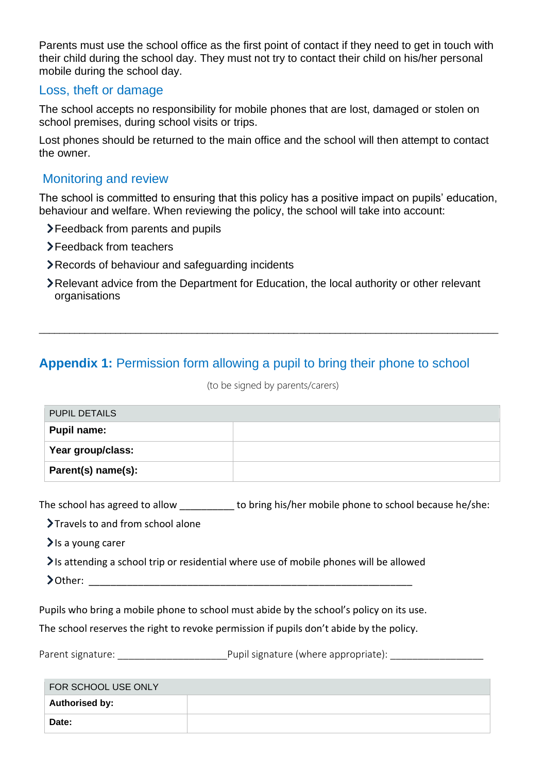Parents must use the school office as the first point of contact if they need to get in touch with their child during the school day. They must not try to contact their child on his/her personal mobile during the school day.

#### Loss, theft or damage

The school accepts no responsibility for mobile phones that are lost, damaged or stolen on school premises, during school visits or trips.

Lost phones should be returned to the main office and the school will then attempt to contact the owner.

## Monitoring and review

The school is committed to ensuring that this policy has a positive impact on pupils' education, behaviour and welfare. When reviewing the policy, the school will take into account:

- Feedback from parents and pupils
- Feedback from teachers
- Records of behaviour and safeguarding incidents
- Relevant advice from the Department for Education, the local authority or other relevant organisations

\_\_\_\_\_\_\_\_\_\_\_\_\_\_\_\_\_\_\_\_\_\_\_\_\_\_\_\_\_\_\_\_\_\_\_\_\_\_\_\_\_\_\_\_\_\_\_\_\_\_\_\_\_\_\_\_\_\_\_\_\_\_\_\_\_\_\_\_\_\_\_\_\_\_\_\_\_\_\_\_\_\_\_\_\_\_\_\_\_\_

## **Appendix 1:** Permission form allowing a pupil to bring their phone to school

(to be signed by parents/carers)

| <b>PUPIL DETAILS</b> |  |
|----------------------|--|
| Pupil name:          |  |
| Year group/class:    |  |
| Parent(s) name(s):   |  |

The school has agreed to allow \_\_\_\_\_\_\_\_\_\_ to bring his/her mobile phone to school because he/she:

Travels to and from school alone

 $\sum$  is a young carer

Is attending a school trip or residential where use of mobile phones will be allowed

 $\geq$  Other:

Pupils who bring a mobile phone to school must abide by the school's policy on its use.

The school reserves the right to revoke permission if pupils don't abide by the policy.

Parent signature:  $\Box$  Pupil signature (where appropriate):

| FOR SCHOOL USE ONLY   |  |
|-----------------------|--|
| <b>Authorised by:</b> |  |
| Date:                 |  |